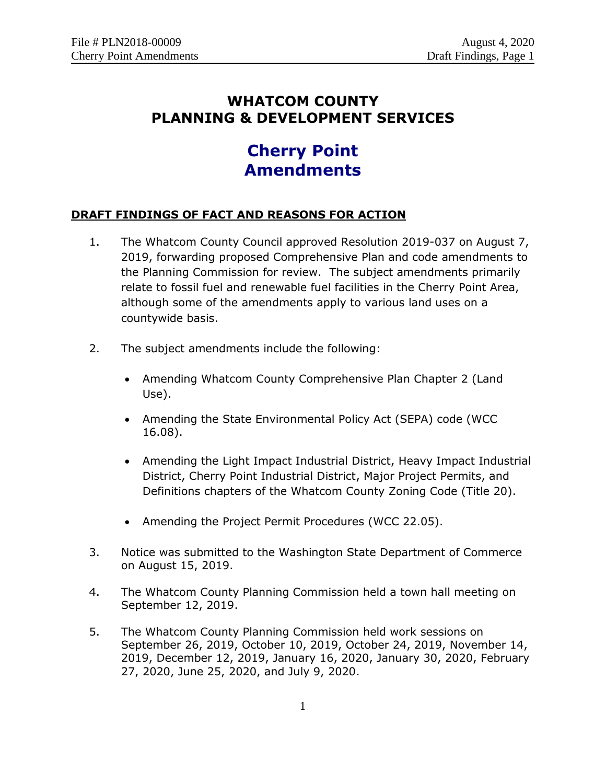# **WHATCOM COUNTY PLANNING & DEVELOPMENT SERVICES**

# **Cherry Point Amendments**

## **DRAFT FINDINGS OF FACT AND REASONS FOR ACTION**

- 1. The Whatcom County Council approved Resolution 2019-037 on August 7, 2019, forwarding proposed Comprehensive Plan and code amendments to the Planning Commission for review. The subject amendments primarily relate to fossil fuel and renewable fuel facilities in the Cherry Point Area, although some of the amendments apply to various land uses on a countywide basis.
- 2. The subject amendments include the following:
	- Amending Whatcom County Comprehensive Plan Chapter 2 (Land Use).
	- Amending the State Environmental Policy Act (SEPA) code (WCC 16.08).
	- Amending the Light Impact Industrial District, Heavy Impact Industrial District, Cherry Point Industrial District, Major Project Permits, and Definitions chapters of the Whatcom County Zoning Code (Title 20).
	- Amending the Project Permit Procedures (WCC 22.05).
- 3. Notice was submitted to the Washington State Department of Commerce on August 15, 2019.
- 4. The Whatcom County Planning Commission held a town hall meeting on September 12, 2019.
- 5. The Whatcom County Planning Commission held work sessions on September 26, 2019, October 10, 2019, October 24, 2019, November 14, 2019, December 12, 2019, January 16, 2020, January 30, 2020, February 27, 2020, June 25, 2020, and July 9, 2020.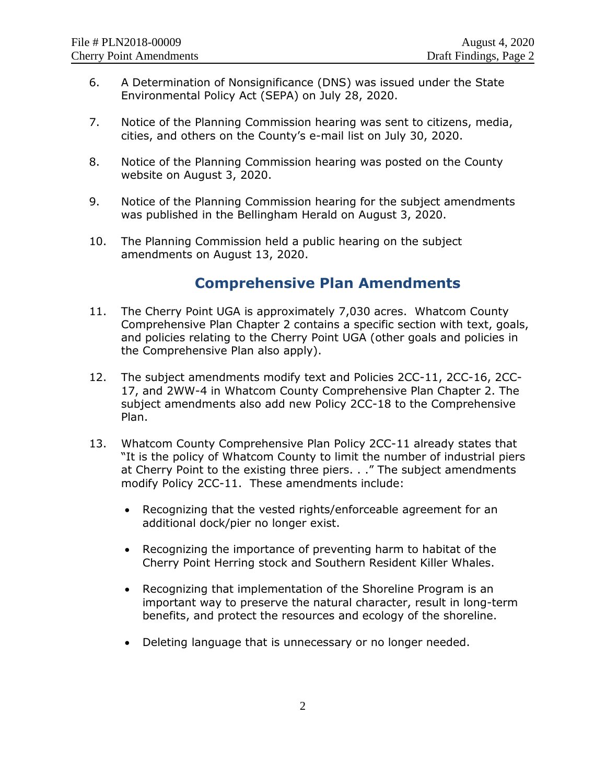- 6. A Determination of Nonsignificance (DNS) was issued under the State Environmental Policy Act (SEPA) on July 28, 2020.
- 7. Notice of the Planning Commission hearing was sent to citizens, media, cities, and others on the County's e-mail list on July 30, 2020.
- 8. Notice of the Planning Commission hearing was posted on the County website on August 3, 2020.
- 9. Notice of the Planning Commission hearing for the subject amendments was published in the Bellingham Herald on August 3, 2020.
- 10. The Planning Commission held a public hearing on the subject amendments on August 13, 2020.

# **Comprehensive Plan Amendments**

- 11. The Cherry Point UGA is approximately 7,030 acres. Whatcom County Comprehensive Plan Chapter 2 contains a specific section with text, goals, and policies relating to the Cherry Point UGA (other goals and policies in the Comprehensive Plan also apply).
- 12. The subject amendments modify text and Policies 2CC-11, 2CC-16, 2CC-17, and 2WW-4 in Whatcom County Comprehensive Plan Chapter 2. The subject amendments also add new Policy 2CC-18 to the Comprehensive Plan.
- 13. Whatcom County Comprehensive Plan Policy 2CC-11 already states that "It is the policy of Whatcom County to limit the number of industrial piers at Cherry Point to the existing three piers. . ." The subject amendments modify Policy 2CC-11. These amendments include:
	- Recognizing that the vested rights/enforceable agreement for an additional dock/pier no longer exist.
	- Recognizing the importance of preventing harm to habitat of the Cherry Point Herring stock and Southern Resident Killer Whales.
	- Recognizing that implementation of the Shoreline Program is an important way to preserve the natural character, result in long-term benefits, and protect the resources and ecology of the shoreline.
	- Deleting language that is unnecessary or no longer needed.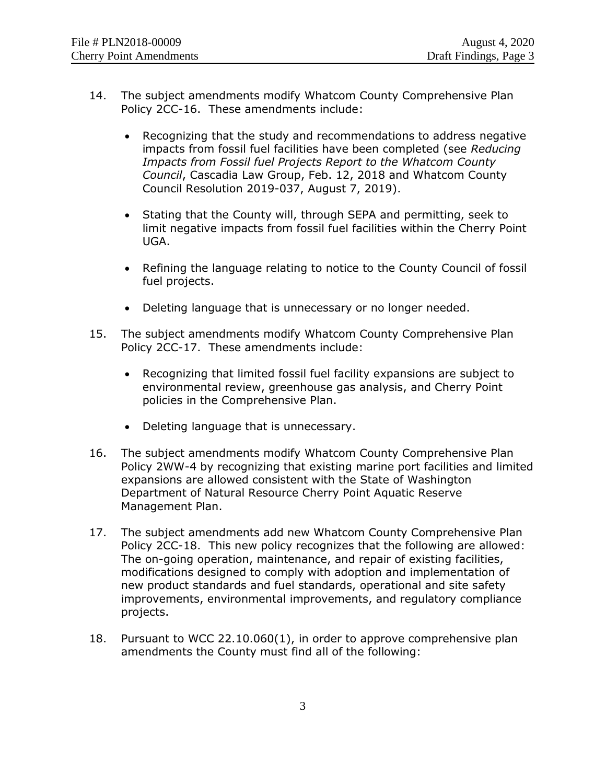- 14. The subject amendments modify Whatcom County Comprehensive Plan Policy 2CC-16. These amendments include:
	- Recognizing that the study and recommendations to address negative impacts from fossil fuel facilities have been completed (see *Reducing Impacts from Fossil fuel Projects Report to the Whatcom County Council*, Cascadia Law Group, Feb. 12, 2018 and Whatcom County Council Resolution 2019-037, August 7, 2019).
	- Stating that the County will, through SEPA and permitting, seek to limit negative impacts from fossil fuel facilities within the Cherry Point UGA.
	- Refining the language relating to notice to the County Council of fossil fuel projects.
	- Deleting language that is unnecessary or no longer needed.
- 15. The subject amendments modify Whatcom County Comprehensive Plan Policy 2CC-17. These amendments include:
	- Recognizing that limited fossil fuel facility expansions are subject to environmental review, greenhouse gas analysis, and Cherry Point policies in the Comprehensive Plan.
	- Deleting language that is unnecessary.
- 16. The subject amendments modify Whatcom County Comprehensive Plan Policy 2WW-4 by recognizing that existing marine port facilities and limited expansions are allowed consistent with the State of Washington Department of Natural Resource Cherry Point Aquatic Reserve Management Plan.
- 17. The subject amendments add new Whatcom County Comprehensive Plan Policy 2CC-18. This new policy recognizes that the following are allowed: The on-going operation, maintenance, and repair of existing facilities, modifications designed to comply with adoption and implementation of new product standards and fuel standards, operational and site safety improvements, environmental improvements, and regulatory compliance projects.
- 18. Pursuant to WCC 22.10.060(1), in order to approve comprehensive plan amendments the County must find all of the following: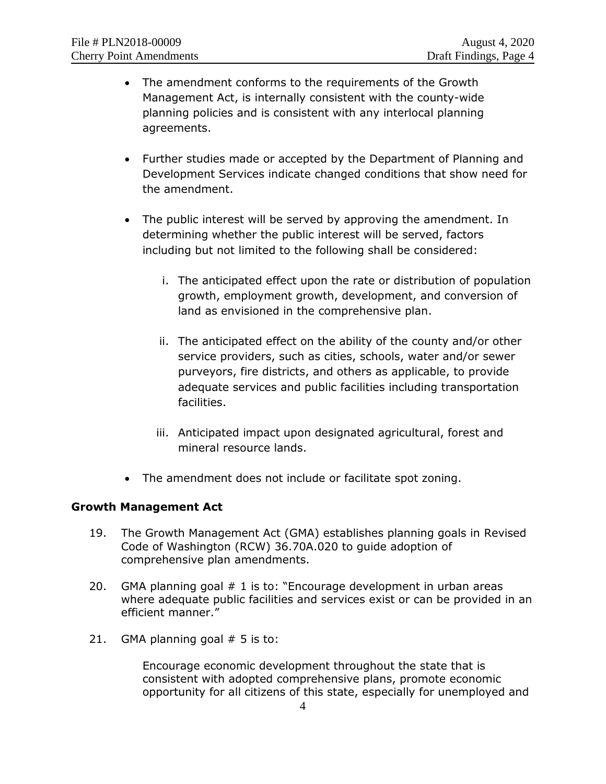- The amendment conforms to the requirements of the Growth Management Act, is internally consistent with the county-wide planning policies and is consistent with any interlocal planning agreements.
- Further studies made or accepted by the Department of Planning and Development Services indicate changed conditions that show need for the amendment.
- The public interest will be served by approving the amendment. In determining whether the public interest will be served, factors including but not limited to the following shall be considered:
	- i. The anticipated effect upon the rate or distribution of population growth, employment growth, development, and conversion of land as envisioned in the comprehensive plan.
	- ii. The anticipated effect on the ability of the county and/or other service providers, such as cities, schools, water and/or sewer purveyors, fire districts, and others as applicable, to provide adequate services and public facilities including transportation facilities.
	- iii. Anticipated impact upon designated agricultural, forest and mineral resource lands.
- The amendment does not include or facilitate spot zoning.

## **Growth Management Act**

- 19. The Growth Management Act (GMA) establishes planning goals in Revised Code of Washington (RCW) 36.70A.020 to guide adoption of comprehensive plan amendments.
- 20. GMA planning goal # 1 is to: "Encourage development in urban areas where adequate public facilities and services exist or can be provided in an efficient manner."
- 21. GMA planning goal  $# 5$  is to:

Encourage economic development throughout the state that is consistent with adopted comprehensive plans, promote economic opportunity for all citizens of this state, especially for unemployed and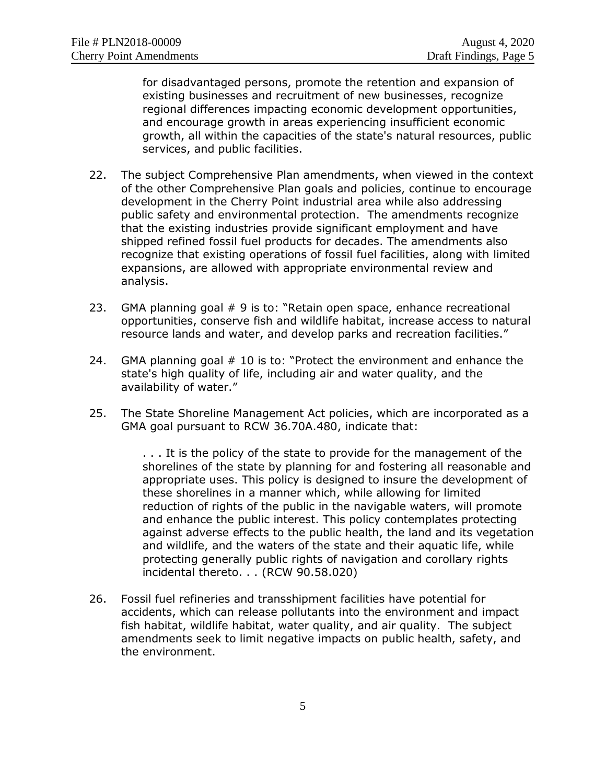for disadvantaged persons, promote the retention and expansion of existing businesses and recruitment of new businesses, recognize regional differences impacting economic development opportunities, and encourage growth in areas experiencing insufficient economic growth, all within the capacities of the state's natural resources, public services, and public facilities.

- 22. The subject Comprehensive Plan amendments, when viewed in the context of the other Comprehensive Plan goals and policies, continue to encourage development in the Cherry Point industrial area while also addressing public safety and environmental protection. The amendments recognize that the existing industries provide significant employment and have shipped refined fossil fuel products for decades. The amendments also recognize that existing operations of fossil fuel facilities, along with limited expansions, are allowed with appropriate environmental review and analysis.
- 23. GMA planning goal # 9 is to: "Retain open space, enhance recreational opportunities, conserve fish and wildlife habitat, increase access to natural resource lands and water, and develop parks and recreation facilities."
- 24. GMA planning goal # 10 is to: "Protect the environment and enhance the state's high quality of life, including air and water quality, and the availability of water."
- 25. The State Shoreline Management Act policies, which are incorporated as a GMA goal pursuant to RCW 36.70A.480, indicate that:

. . . It is the policy of the state to provide for the management of the shorelines of the state by planning for and fostering all reasonable and appropriate uses. This policy is designed to insure the development of these shorelines in a manner which, while allowing for limited reduction of rights of the public in the navigable waters, will promote and enhance the public interest. This policy contemplates protecting against adverse effects to the public health, the land and its vegetation and wildlife, and the waters of the state and their aquatic life, while protecting generally public rights of navigation and corollary rights incidental thereto. . . (RCW 90.58.020)

26. Fossil fuel refineries and transshipment facilities have potential for accidents, which can release pollutants into the environment and impact fish habitat, wildlife habitat, water quality, and air quality. The subject amendments seek to limit negative impacts on public health, safety, and the environment.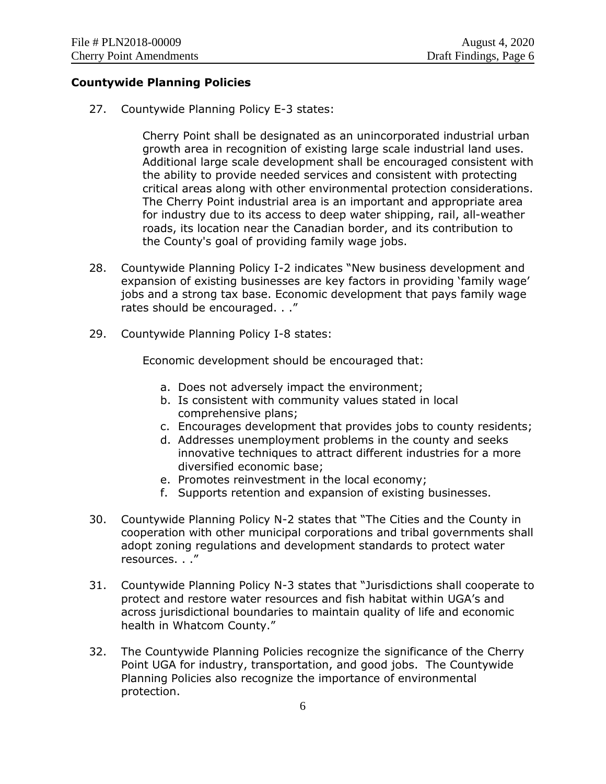#### **Countywide Planning Policies**

27. Countywide Planning Policy E-3 states:

Cherry Point shall be designated as an unincorporated industrial urban growth area in recognition of existing large scale industrial land uses. Additional large scale development shall be encouraged consistent with the ability to provide needed services and consistent with protecting critical areas along with other environmental protection considerations. The Cherry Point industrial area is an important and appropriate area for industry due to its access to deep water shipping, rail, all-weather roads, its location near the Canadian border, and its contribution to the County's goal of providing family wage jobs.

- 28. Countywide Planning Policy I-2 indicates "New business development and expansion of existing businesses are key factors in providing 'family wage' jobs and a strong tax base. Economic development that pays family wage rates should be encouraged. . ."
- 29. Countywide Planning Policy I-8 states:

Economic development should be encouraged that:

- a. Does not adversely impact the environment;
- b. Is consistent with community values stated in local comprehensive plans;
- c. Encourages development that provides jobs to county residents;
- d. Addresses unemployment problems in the county and seeks innovative techniques to attract different industries for a more diversified economic base;
- e. Promotes reinvestment in the local economy;
- f. Supports retention and expansion of existing businesses.
- 30. Countywide Planning Policy N-2 states that "The Cities and the County in cooperation with other municipal corporations and tribal governments shall adopt zoning regulations and development standards to protect water resources. . ."
- 31. Countywide Planning Policy N-3 states that "Jurisdictions shall cooperate to protect and restore water resources and fish habitat within UGA's and across jurisdictional boundaries to maintain quality of life and economic health in Whatcom County."
- 32. The Countywide Planning Policies recognize the significance of the Cherry Point UGA for industry, transportation, and good jobs. The Countywide Planning Policies also recognize the importance of environmental protection.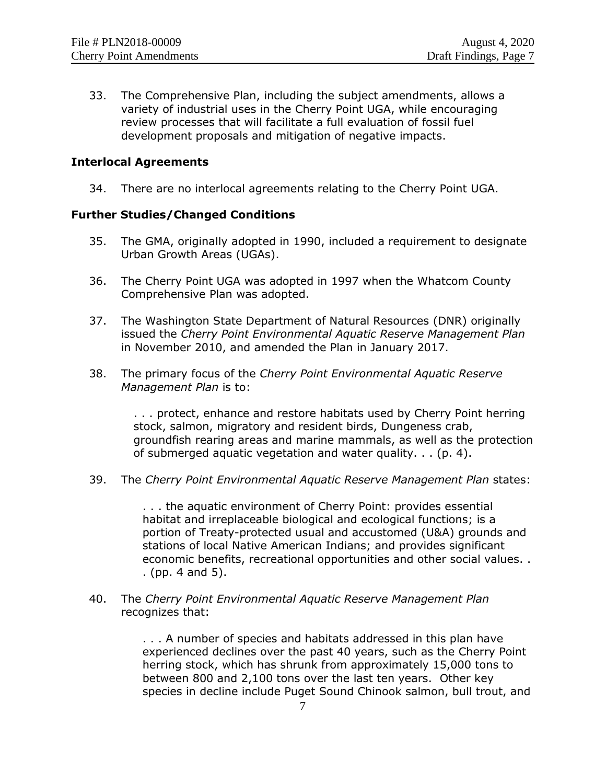33. The Comprehensive Plan, including the subject amendments, allows a variety of industrial uses in the Cherry Point UGA, while encouraging review processes that will facilitate a full evaluation of fossil fuel development proposals and mitigation of negative impacts.

#### **Interlocal Agreements**

34. There are no interlocal agreements relating to the Cherry Point UGA.

#### **Further Studies/Changed Conditions**

- 35. The GMA, originally adopted in 1990, included a requirement to designate Urban Growth Areas (UGAs).
- 36. The Cherry Point UGA was adopted in 1997 when the Whatcom County Comprehensive Plan was adopted.
- 37. The Washington State Department of Natural Resources (DNR) originally issued the *Cherry Point Environmental Aquatic Reserve Management Plan* in November 2010, and amended the Plan in January 2017.
- 38. The primary focus of the *Cherry Point Environmental Aquatic Reserve Management Plan* is to:

. . . protect, enhance and restore habitats used by Cherry Point herring stock, salmon, migratory and resident birds, Dungeness crab, groundfish rearing areas and marine mammals, as well as the protection of submerged aquatic vegetation and water quality. . . (p. 4).

39. The *Cherry Point Environmental Aquatic Reserve Management Plan* states:

. . . the aquatic environment of Cherry Point: provides essential habitat and irreplaceable biological and ecological functions; is a portion of Treaty-protected usual and accustomed (U&A) grounds and stations of local Native American Indians; and provides significant economic benefits, recreational opportunities and other social values. . . (pp. 4 and 5).

40. The *Cherry Point Environmental Aquatic Reserve Management Plan* recognizes that:

> . . . A number of species and habitats addressed in this plan have experienced declines over the past 40 years, such as the Cherry Point herring stock, which has shrunk from approximately 15,000 tons to between 800 and 2,100 tons over the last ten years. Other key species in decline include Puget Sound Chinook salmon, bull trout, and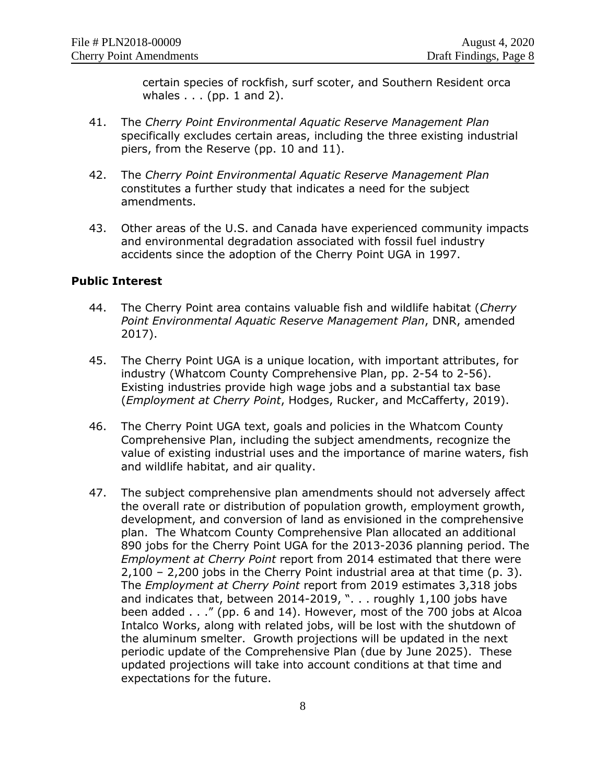certain species of rockfish, surf scoter, and Southern Resident orca whales . . . (pp. 1 and 2).

- 41. The *Cherry Point Environmental Aquatic Reserve Management Plan* specifically excludes certain areas, including the three existing industrial piers, from the Reserve (pp. 10 and 11).
- 42. The *Cherry Point Environmental Aquatic Reserve Management Plan* constitutes a further study that indicates a need for the subject amendments.
- 43. Other areas of the U.S. and Canada have experienced community impacts and environmental degradation associated with fossil fuel industry accidents since the adoption of the Cherry Point UGA in 1997.

#### **Public Interest**

- 44. The Cherry Point area contains valuable fish and wildlife habitat (*Cherry Point Environmental Aquatic Reserve Management Plan*, DNR, amended 2017).
- 45. The Cherry Point UGA is a unique location, with important attributes, for industry (Whatcom County Comprehensive Plan, pp. 2-54 to 2-56). Existing industries provide high wage jobs and a substantial tax base (*Employment at Cherry Point*, Hodges, Rucker, and McCafferty, 2019).
- 46. The Cherry Point UGA text, goals and policies in the Whatcom County Comprehensive Plan, including the subject amendments, recognize the value of existing industrial uses and the importance of marine waters, fish and wildlife habitat, and air quality.
- 47. The subject comprehensive plan amendments should not adversely affect the overall rate or distribution of population growth, employment growth, development, and conversion of land as envisioned in the comprehensive plan. The Whatcom County Comprehensive Plan allocated an additional 890 jobs for the Cherry Point UGA for the 2013-2036 planning period. The *Employment at Cherry Point* report from 2014 estimated that there were 2,100 – 2,200 jobs in the Cherry Point industrial area at that time (p. 3). The *Employment at Cherry Point* report from 2019 estimates 3,318 jobs and indicates that, between 2014-2019, ". . . roughly 1,100 jobs have been added . . ." (pp. 6 and 14). However, most of the 700 jobs at Alcoa Intalco Works, along with related jobs, will be lost with the shutdown of the aluminum smelter. Growth projections will be updated in the next periodic update of the Comprehensive Plan (due by June 2025). These updated projections will take into account conditions at that time and expectations for the future.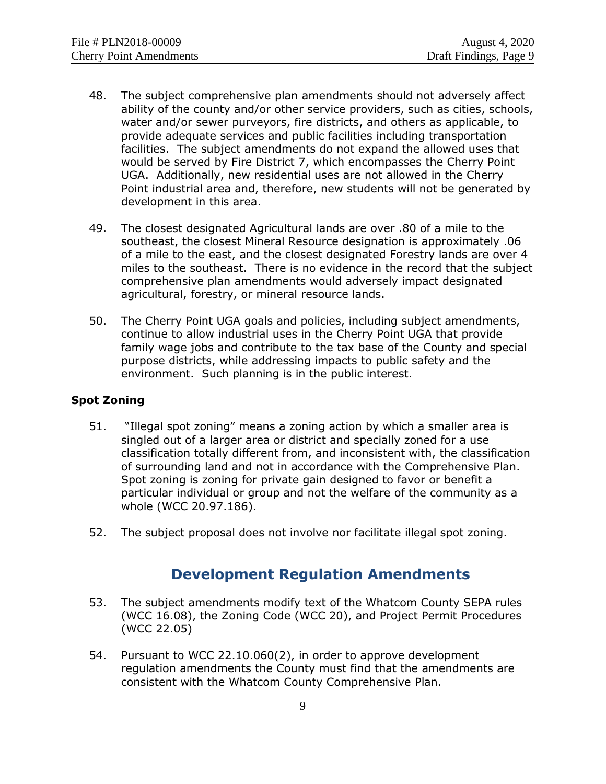- 48. The subject comprehensive plan amendments should not adversely affect ability of the county and/or other service providers, such as cities, schools, water and/or sewer purveyors, fire districts, and others as applicable, to provide adequate services and public facilities including transportation facilities. The subject amendments do not expand the allowed uses that would be served by Fire District 7, which encompasses the Cherry Point UGA. Additionally, new residential uses are not allowed in the Cherry Point industrial area and, therefore, new students will not be generated by development in this area.
- 49. The closest designated Agricultural lands are over .80 of a mile to the southeast, the closest Mineral Resource designation is approximately .06 of a mile to the east, and the closest designated Forestry lands are over 4 miles to the southeast. There is no evidence in the record that the subject comprehensive plan amendments would adversely impact designated agricultural, forestry, or mineral resource lands.
- 50. The Cherry Point UGA goals and policies, including subject amendments, continue to allow industrial uses in the Cherry Point UGA that provide family wage jobs and contribute to the tax base of the County and special purpose districts, while addressing impacts to public safety and the environment. Such planning is in the public interest.

#### **Spot Zoning**

- 51. "Illegal spot zoning" means a zoning action by which a smaller area is singled out of a larger area or district and specially zoned for a use classification totally different from, and inconsistent with, the classification of surrounding land and not in accordance with the Comprehensive Plan. Spot zoning is zoning for private gain designed to favor or benefit a particular individual or group and not the welfare of the community as a whole (WCC 20.97.186).
- 52. The subject proposal does not involve nor facilitate illegal spot zoning.

# **Development Regulation Amendments**

- 53. The subject amendments modify text of the Whatcom County SEPA rules (WCC 16.08), the Zoning Code (WCC 20), and Project Permit Procedures (WCC 22.05)
- 54. Pursuant to WCC 22.10.060(2), in order to approve development regulation amendments the County must find that the amendments are consistent with the Whatcom County Comprehensive Plan.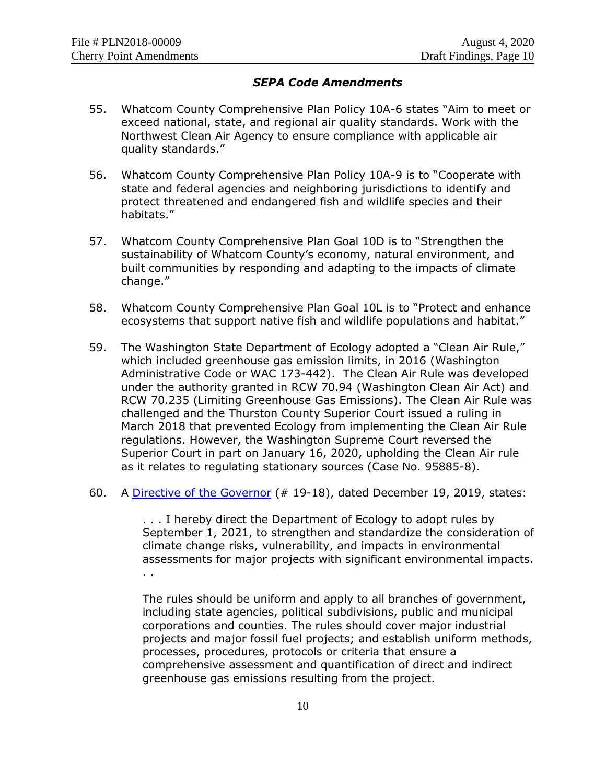### *SEPA Code Amendments*

- 55. Whatcom County Comprehensive Plan Policy 10A-6 states "Aim to meet or exceed national, state, and regional air quality standards. Work with the Northwest Clean Air Agency to ensure compliance with applicable air quality standards."
- 56. Whatcom County Comprehensive Plan Policy 10A-9 is to "Cooperate with state and federal agencies and neighboring jurisdictions to identify and protect threatened and endangered fish and wildlife species and their habitats."
- 57. Whatcom County Comprehensive Plan Goal 10D is to "Strengthen the sustainability of Whatcom County's economy, natural environment, and built communities by responding and adapting to the impacts of climate change."
- 58. Whatcom County Comprehensive Plan Goal 10L is to "Protect and enhance ecosystems that support native fish and wildlife populations and habitat."
- 59. The Washington State Department of Ecology adopted a "Clean Air Rule," which included greenhouse gas emission limits, in 2016 (Washington Administrative Code or WAC 173-442). The Clean Air Rule was developed under the authority granted in RCW 70.94 (Washington Clean Air Act) and RCW 70.235 (Limiting Greenhouse Gas Emissions). The Clean Air Rule was challenged and the Thurston County Superior Court issued a ruling in March 2018 that prevented Ecology from implementing the Clean Air Rule regulations. However, the Washington Supreme Court reversed the Superior Court in part on January 16, 2020, upholding the Clean Air rule as it relates to regulating stationary sources (Case No. 95885-8).
- 60. A [Directive of the Governor](https://www.governor.wa.gov/sites/default/files/directive/19-18%20-%20ECY%20Climate%20Rules%20%28tmp%29.pdf) (# 19-18), dated December 19, 2019, states:

. . . I hereby direct the Department of Ecology to adopt rules by September 1, 2021, to strengthen and standardize the consideration of climate change risks, vulnerability, and impacts in environmental assessments for major projects with significant environmental impacts. . .

The rules should be uniform and apply to all branches of government, including state agencies, political subdivisions, public and municipal corporations and counties. The rules should cover major industrial projects and major fossil fuel projects; and establish uniform methods, processes, procedures, protocols or criteria that ensure a comprehensive assessment and quantification of direct and indirect greenhouse gas emissions resulting from the project.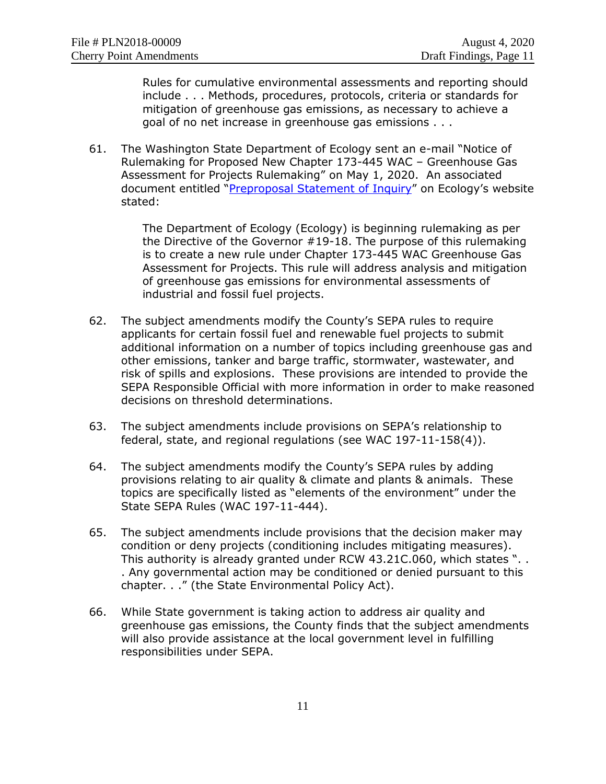Rules for cumulative environmental assessments and reporting should include . . . Methods, procedures, protocols, criteria or standards for mitigation of greenhouse gas emissions, as necessary to achieve a goal of no net increase in greenhouse gas emissions . . .

61. The Washington State Department of Ecology sent an e-mail "Notice of Rulemaking for Proposed New Chapter 173-445 WAC – Greenhouse Gas Assessment for Projects Rulemaking" on May 1, 2020. An associated document entitled "[Preproposal Statement of Inquiry](https://ecology.wa.gov/DOE/files/d1/d1ed2cac-ce23-4ad2-a6a5-dfdeb8839823.pdf)" on Ecology's website stated:

> The Department of Ecology (Ecology) is beginning rulemaking as per the Directive of the Governor #19-18. The purpose of this rulemaking is to create a new rule under Chapter 173-445 WAC Greenhouse Gas Assessment for Projects. This rule will address analysis and mitigation of greenhouse gas emissions for environmental assessments of industrial and fossil fuel projects.

- 62. The subject amendments modify the County's SEPA rules to require applicants for certain fossil fuel and renewable fuel projects to submit additional information on a number of topics including greenhouse gas and other emissions, tanker and barge traffic, stormwater, wastewater, and risk of spills and explosions. These provisions are intended to provide the SEPA Responsible Official with more information in order to make reasoned decisions on threshold determinations.
- 63. The subject amendments include provisions on SEPA's relationship to federal, state, and regional regulations (see WAC 197-11-158(4)).
- 64. The subject amendments modify the County's SEPA rules by adding provisions relating to air quality & climate and plants & animals. These topics are specifically listed as "elements of the environment" under the State SEPA Rules (WAC 197-11-444).
- 65. The subject amendments include provisions that the decision maker may condition or deny projects (conditioning includes mitigating measures). This authority is already granted under RCW 43.21C.060, which states ". . . Any governmental action may be conditioned or denied pursuant to this chapter. . ." (the State Environmental Policy Act).
- 66. While State government is taking action to address air quality and greenhouse gas emissions, the County finds that the subject amendments will also provide assistance at the local government level in fulfilling responsibilities under SEPA.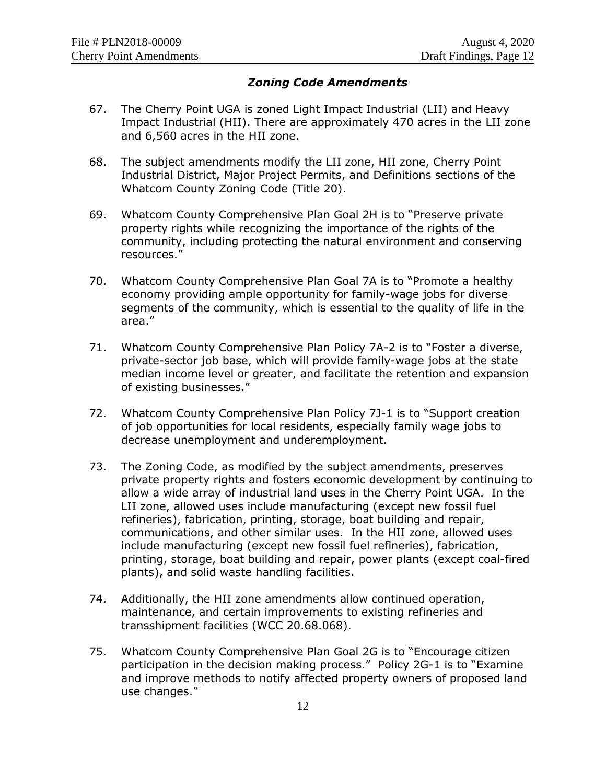#### *Zoning Code Amendments*

- 67. The Cherry Point UGA is zoned Light Impact Industrial (LII) and Heavy Impact Industrial (HII). There are approximately 470 acres in the LII zone and 6,560 acres in the HII zone.
- 68. The subject amendments modify the LII zone, HII zone, Cherry Point Industrial District, Major Project Permits, and Definitions sections of the Whatcom County Zoning Code (Title 20).
- 69. Whatcom County Comprehensive Plan Goal 2H is to "Preserve private property rights while recognizing the importance of the rights of the community, including protecting the natural environment and conserving resources."
- 70. Whatcom County Comprehensive Plan Goal 7A is to "Promote a healthy economy providing ample opportunity for family-wage jobs for diverse segments of the community, which is essential to the quality of life in the area."
- 71. Whatcom County Comprehensive Plan Policy 7A-2 is to "Foster a diverse, private-sector job base, which will provide family-wage jobs at the state median income level or greater, and facilitate the retention and expansion of existing businesses."
- 72. Whatcom County Comprehensive Plan Policy 7J-1 is to "Support creation of job opportunities for local residents, especially family wage jobs to decrease unemployment and underemployment.
- 73. The Zoning Code, as modified by the subject amendments, preserves private property rights and fosters economic development by continuing to allow a wide array of industrial land uses in the Cherry Point UGA. In the LII zone, allowed uses include manufacturing (except new fossil fuel refineries), fabrication, printing, storage, boat building and repair, communications, and other similar uses. In the HII zone, allowed uses include manufacturing (except new fossil fuel refineries), fabrication, printing, storage, boat building and repair, power plants (except coal-fired plants), and solid waste handling facilities.
- 74. Additionally, the HII zone amendments allow continued operation, maintenance, and certain improvements to existing refineries and transshipment facilities (WCC 20.68.068).
- 75. Whatcom County Comprehensive Plan Goal 2G is to "Encourage citizen participation in the decision making process." Policy 2G-1 is to "Examine and improve methods to notify affected property owners of proposed land use changes."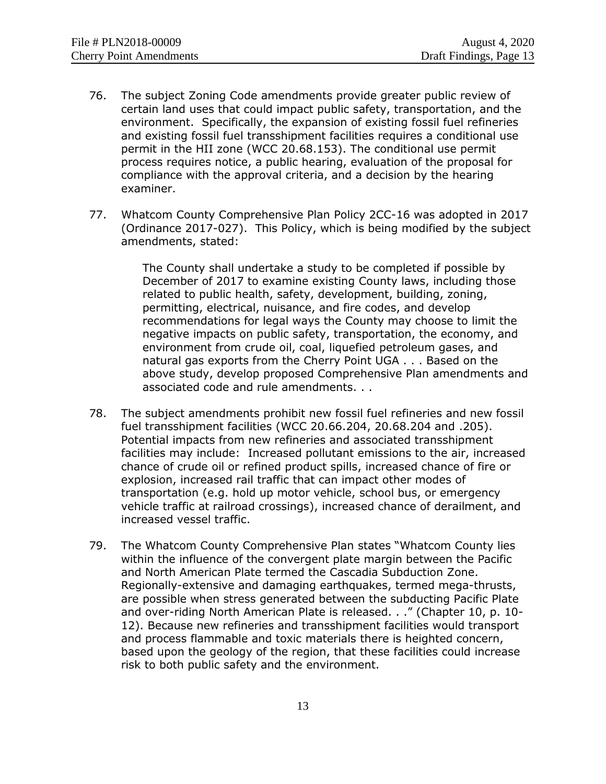- 76. The subject Zoning Code amendments provide greater public review of certain land uses that could impact public safety, transportation, and the environment. Specifically, the expansion of existing fossil fuel refineries and existing fossil fuel transshipment facilities requires a conditional use permit in the HII zone (WCC 20.68.153). The conditional use permit process requires notice, a public hearing, evaluation of the proposal for compliance with the approval criteria, and a decision by the hearing examiner.
- 77. Whatcom County Comprehensive Plan Policy 2CC-16 was adopted in 2017 (Ordinance 2017-027). This Policy, which is being modified by the subject amendments, stated:

The County shall undertake a study to be completed if possible by December of 2017 to examine existing County laws, including those related to public health, safety, development, building, zoning, permitting, electrical, nuisance, and fire codes, and develop recommendations for legal ways the County may choose to limit the negative impacts on public safety, transportation, the economy, and environment from crude oil, coal, liquefied petroleum gases, and natural gas exports from the Cherry Point UGA . . . Based on the above study, develop proposed Comprehensive Plan amendments and associated code and rule amendments. . .

- 78. The subject amendments prohibit new fossil fuel refineries and new fossil fuel transshipment facilities (WCC 20.66.204, 20.68.204 and .205). Potential impacts from new refineries and associated transshipment facilities may include: Increased pollutant emissions to the air, increased chance of crude oil or refined product spills, increased chance of fire or explosion, increased rail traffic that can impact other modes of transportation (e.g. hold up motor vehicle, school bus, or emergency vehicle traffic at railroad crossings), increased chance of derailment, and increased vessel traffic.
- 79. The Whatcom County Comprehensive Plan states "Whatcom County lies within the influence of the convergent plate margin between the Pacific and North American Plate termed the Cascadia Subduction Zone. Regionally-extensive and damaging earthquakes, termed mega-thrusts, are possible when stress generated between the subducting Pacific Plate and over-riding North American Plate is released. . ." (Chapter 10, p. 10- 12). Because new refineries and transshipment facilities would transport and process flammable and toxic materials there is heighted concern, based upon the geology of the region, that these facilities could increase risk to both public safety and the environment.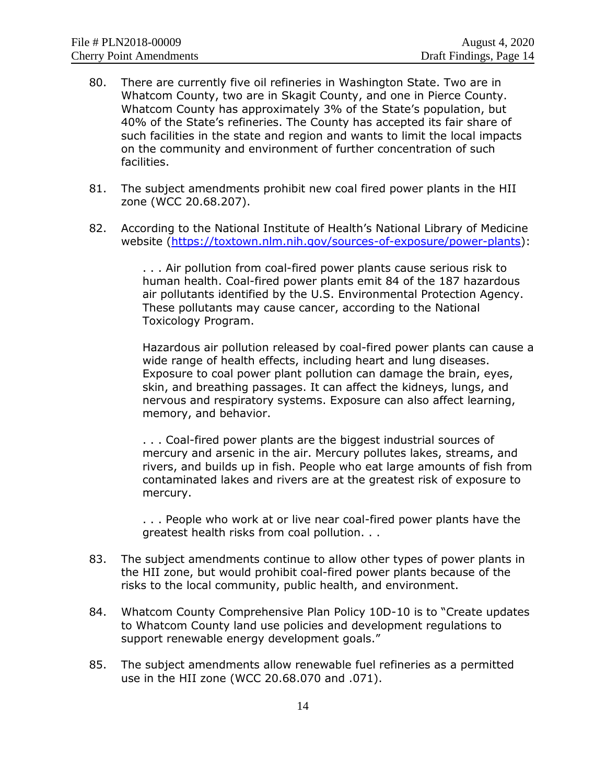- 80. There are currently five oil refineries in Washington State. Two are in Whatcom County, two are in Skagit County, and one in Pierce County. Whatcom County has approximately 3% of the State's population, but 40% of the State's refineries. The County has accepted its fair share of such facilities in the state and region and wants to limit the local impacts on the community and environment of further concentration of such facilities.
- 81. The subject amendments prohibit new coal fired power plants in the HII zone (WCC 20.68.207).
- 82. According to the National Institute of Health's National Library of Medicine website [\(https://toxtown.nlm.nih.gov/sources-of-exposure/power-plants\)](https://toxtown.nlm.nih.gov/sources-of-exposure/power-plants):

. . . Air pollution from coal-fired power plants cause serious risk to human health. Coal-fired power plants emit 84 of the 187 hazardous air pollutants identified by the U.S. Environmental Protection Agency. These pollutants may cause cancer, according to the National Toxicology Program.

Hazardous air pollution released by coal-fired power plants can cause a wide range of health effects, including heart and lung diseases. Exposure to coal power plant pollution can damage the brain, eyes, skin, and breathing passages. It can affect the kidneys, lungs, and nervous and respiratory systems. Exposure can also affect learning, memory, and behavior.

. . . Coal-fired power plants are the biggest industrial sources of [mercury](https://toxtown.nlm.nih.gov/chemicals-and-contaminants/mercury) and [arsenic](https://toxtown.nlm.nih.gov/chemicals-and-contaminants/arsenic) in the air. Mercury pollutes lakes, streams, and rivers, and builds up in fish. People who eat large amounts of fish from contaminated lakes and rivers are at the greatest risk of exposure to mercury.

. . . People who work at or live near coal-fired power plants have the greatest health risks from coal pollution. . .

- 83. The subject amendments continue to allow other types of power plants in the HII zone, but would prohibit coal-fired power plants because of the risks to the local community, public health, and environment.
- 84. Whatcom County Comprehensive Plan Policy 10D-10 is to "Create updates to Whatcom County land use policies and development regulations to support renewable energy development goals."
- 85. The subject amendments allow renewable fuel refineries as a permitted use in the HII zone (WCC 20.68.070 and .071).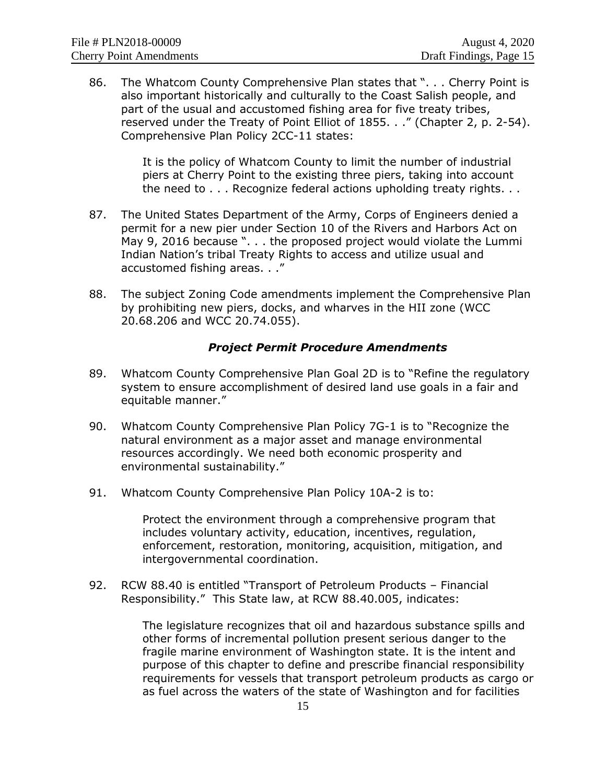86. The Whatcom County Comprehensive Plan states that ". . . Cherry Point is also important historically and culturally to the Coast Salish people, and part of the usual and accustomed fishing area for five treaty tribes, reserved under the Treaty of Point Elliot of 1855. . ." (Chapter 2, p. 2-54). Comprehensive Plan Policy 2CC-11 states:

> It is the policy of Whatcom County to limit the number of industrial piers at Cherry Point to the existing three piers, taking into account the need to . . . Recognize federal actions upholding treaty rights. . .

- 87. The United States Department of the Army, Corps of Engineers denied a permit for a new pier under Section 10 of the Rivers and Harbors Act on May 9, 2016 because ". . . the proposed project would violate the Lummi Indian Nation's tribal Treaty Rights to access and utilize usual and accustomed fishing areas. . ."
- 88. The subject Zoning Code amendments implement the Comprehensive Plan by prohibiting new piers, docks, and wharves in the HII zone (WCC 20.68.206 and WCC 20.74.055).

#### *Project Permit Procedure Amendments*

- 89. Whatcom County Comprehensive Plan Goal 2D is to "Refine the regulatory system to ensure accomplishment of desired land use goals in a fair and equitable manner."
- 90. Whatcom County Comprehensive Plan Policy 7G-1 is to "Recognize the natural environment as a major asset and manage environmental resources accordingly. We need both economic prosperity and environmental sustainability."
- 91. Whatcom County Comprehensive Plan Policy 10A-2 is to:

Protect the environment through a comprehensive program that includes voluntary activity, education, incentives, regulation, enforcement, restoration, monitoring, acquisition, mitigation, and intergovernmental coordination.

92. RCW 88.40 is entitled "Transport of Petroleum Products – Financial Responsibility." This State law, at RCW 88.40.005, indicates:

> The legislature recognizes that oil and hazardous substance spills and other forms of incremental pollution present serious danger to the fragile marine environment of Washington state. It is the intent and purpose of this chapter to define and prescribe financial responsibility requirements for vessels that transport petroleum products as cargo or as fuel across the waters of the state of Washington and for facilities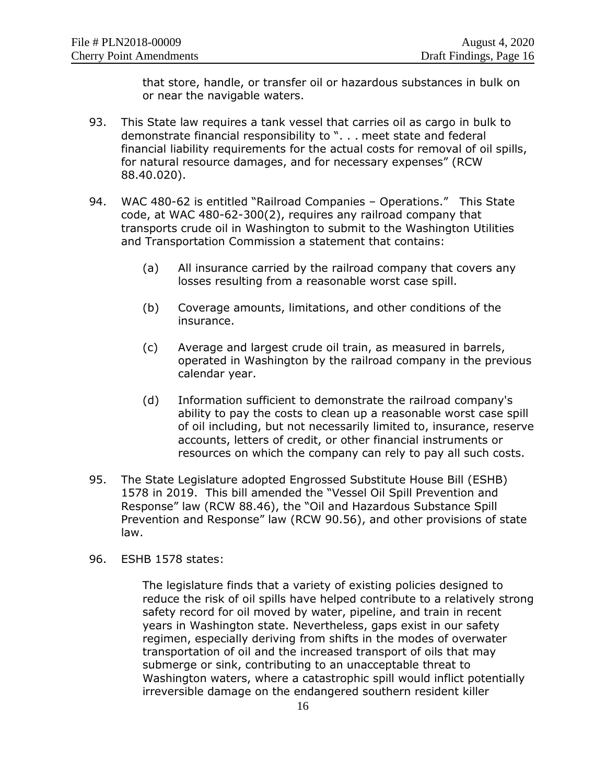that store, handle, or transfer oil or hazardous substances in bulk on or near the navigable waters.

- 93. This State law requires a tank vessel that carries oil as cargo in bulk to demonstrate financial responsibility to ". . . meet state and federal financial liability requirements for the actual costs for removal of oil spills, for natural resource damages, and for necessary expenses" (RCW 88.40.020).
- 94. WAC 480-62 is entitled "Railroad Companies Operations." This State code, at WAC 480-62-300(2), requires any railroad company that transports crude oil in Washington to submit to the Washington Utilities and Transportation Commission a statement that contains:
	- (a) All insurance carried by the railroad company that covers any losses resulting from a reasonable worst case spill.
	- (b) Coverage amounts, limitations, and other conditions of the insurance.
	- (c) Average and largest crude oil train, as measured in barrels, operated in Washington by the railroad company in the previous calendar year.
	- (d) Information sufficient to demonstrate the railroad company's ability to pay the costs to clean up a reasonable worst case spill of oil including, but not necessarily limited to, insurance, reserve accounts, letters of credit, or other financial instruments or resources on which the company can rely to pay all such costs.
- 95. The State Legislature adopted Engrossed Substitute House Bill (ESHB) 1578 in 2019. This bill amended the "Vessel Oil Spill Prevention and Response" law (RCW 88.46), the "Oil and Hazardous Substance Spill Prevention and Response" law (RCW 90.56), and other provisions of state law.
- 96. ESHB 1578 states:

The legislature finds that a variety of existing policies designed to reduce the risk of oil spills have helped contribute to a relatively strong safety record for oil moved by water, pipeline, and train in recent years in Washington state. Nevertheless, gaps exist in our safety regimen, especially deriving from shifts in the modes of overwater transportation of oil and the increased transport of oils that may submerge or sink, contributing to an unacceptable threat to Washington waters, where a catastrophic spill would inflict potentially irreversible damage on the endangered southern resident killer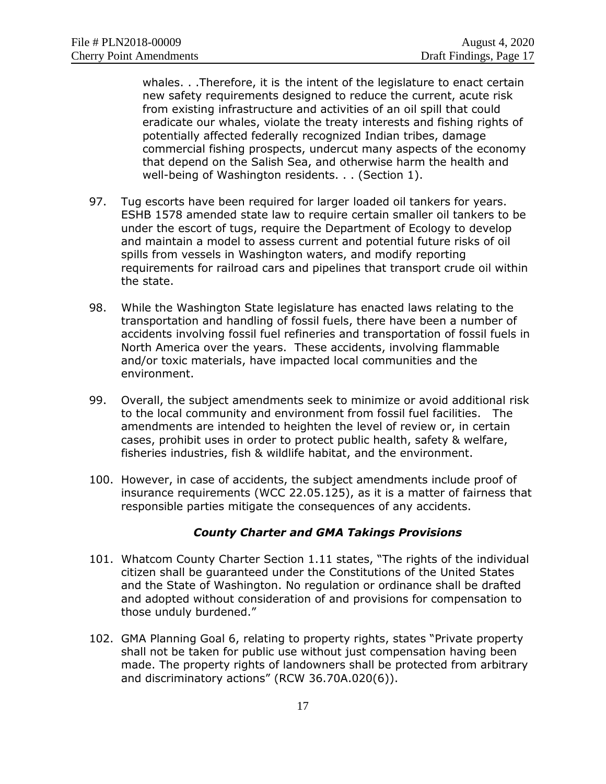whales. . .Therefore, it is the intent of the legislature to enact certain new safety requirements designed to reduce the current, acute risk from existing infrastructure and activities of an oil spill that could eradicate our whales, violate the treaty interests and fishing rights of potentially affected federally recognized Indian tribes, damage commercial fishing prospects, undercut many aspects of the economy that depend on the Salish Sea, and otherwise harm the health and well-being of Washington residents. . . (Section 1).

- 97. Tug escorts have been required for larger loaded oil tankers for years. ESHB 1578 amended state law to require certain smaller oil tankers to be under the escort of tugs, require the Department of Ecology to develop and maintain a model to assess current and potential future risks of oil spills from vessels in Washington waters, and modify reporting requirements for railroad cars and pipelines that transport crude oil within the state.
- 98. While the Washington State legislature has enacted laws relating to the transportation and handling of fossil fuels, there have been a number of accidents involving fossil fuel refineries and transportation of fossil fuels in North America over the years. These accidents, involving flammable and/or toxic materials, have impacted local communities and the environment.
- 99. Overall, the subject amendments seek to minimize or avoid additional risk to the local community and environment from fossil fuel facilities. The amendments are intended to heighten the level of review or, in certain cases, prohibit uses in order to protect public health, safety & welfare, fisheries industries, fish & wildlife habitat, and the environment.
- 100. However, in case of accidents, the subject amendments include proof of insurance requirements (WCC 22.05.125), as it is a matter of fairness that responsible parties mitigate the consequences of any accidents.

#### *County Charter and GMA Takings Provisions*

- 101. Whatcom County Charter Section 1.11 states, "The rights of the individual citizen shall be guaranteed under the Constitutions of the United States and the State of Washington. No regulation or ordinance shall be drafted and adopted without consideration of and provisions for compensation to those unduly burdened."
- 102. GMA Planning Goal 6, relating to property rights, states "Private property shall not be taken for public use without just compensation having been made. The property rights of landowners shall be protected from arbitrary and discriminatory actions" (RCW 36.70A.020(6)).